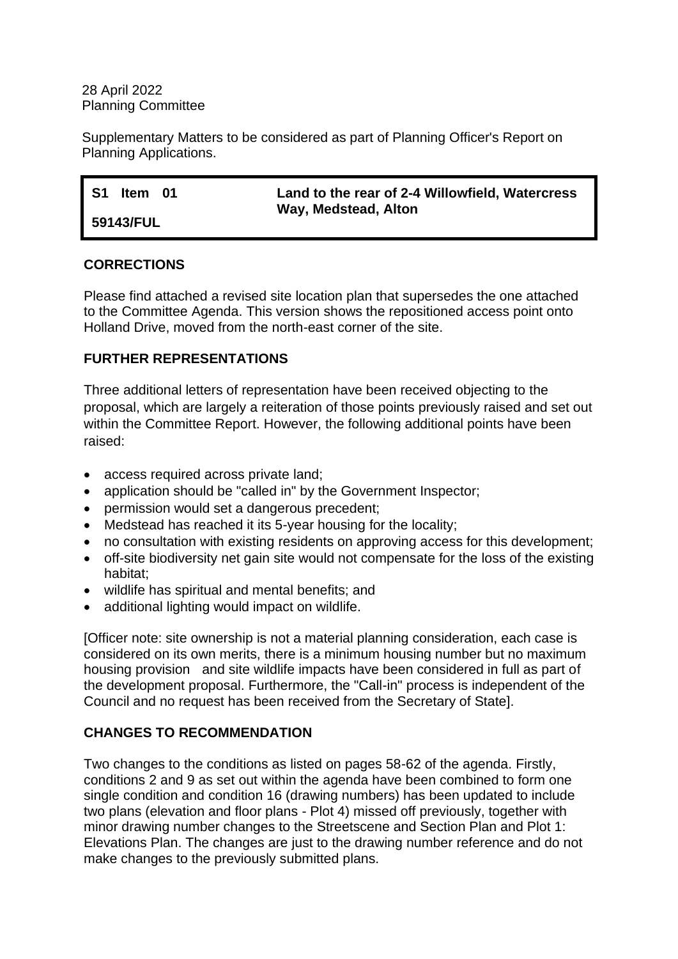#### 28 April 2022 Planning Committee

Supplementary Matters to be considered as part of Planning Officer's Report on Planning Applications.

| - S1<br>ltem 01 | Land to the rear of 2-4 Willowfield, Watercress |
|-----------------|-------------------------------------------------|
|                 | Way, Medstead, Alton                            |
| 59143/FUL       |                                                 |

### **CORRECTIONS**

Please find attached a revised site location plan that supersedes the one attached to the Committee Agenda. This version shows the repositioned access point onto Holland Drive, moved from the north-east corner of the site.

# **FURTHER REPRESENTATIONS**

Three additional letters of representation have been received objecting to the proposal, which are largely a reiteration of those points previously raised and set out within the Committee Report. However, the following additional points have been raised:

- access required across private land;
- application should be "called in" by the Government Inspector;
- permission would set a dangerous precedent;
- Medstead has reached it its 5-year housing for the locality;
- no consultation with existing residents on approving access for this development;
- off-site biodiversity net gain site would not compensate for the loss of the existing habitat;
- wildlife has spiritual and mental benefits; and
- additional lighting would impact on wildlife.

[Officer note: site ownership is not a material planning consideration, each case is considered on its own merits, there is a minimum housing number but no maximum housing provision and site wildlife impacts have been considered in full as part of the development proposal. Furthermore, the "Call-in" process is independent of the Council and no request has been received from the Secretary of State].

# **CHANGES TO RECOMMENDATION**

Two changes to the conditions as listed on pages 58-62 of the agenda. Firstly, conditions 2 and 9 as set out within the agenda have been combined to form one single condition and condition 16 (drawing numbers) has been updated to include two plans (elevation and floor plans - Plot 4) missed off previously, together with minor drawing number changes to the Streetscene and Section Plan and Plot 1: Elevations Plan. The changes are just to the drawing number reference and do not make changes to the previously submitted plans.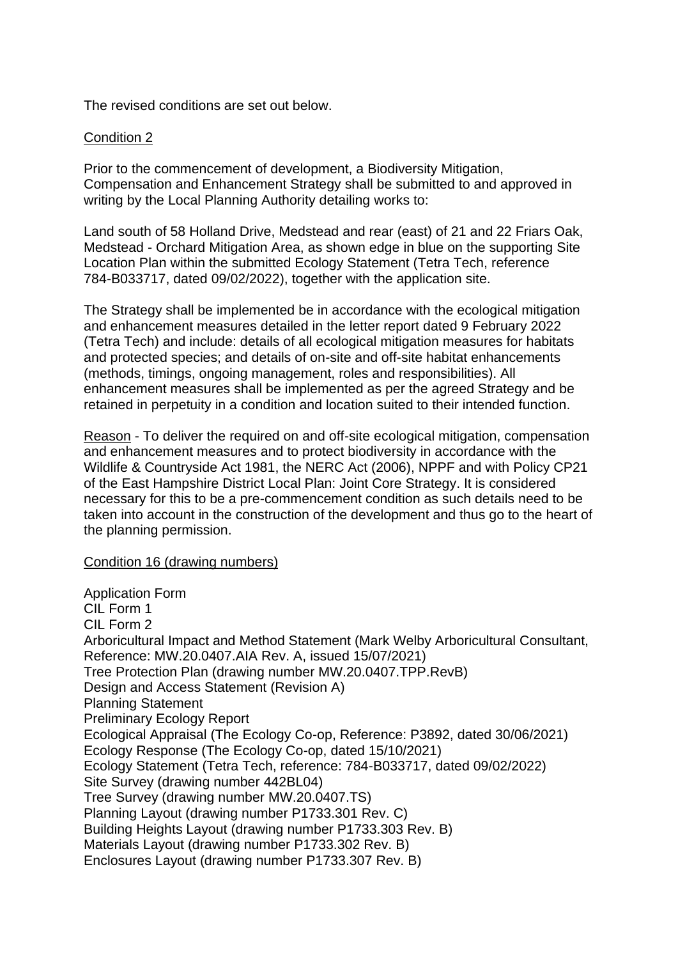The revised conditions are set out below.

#### Condition 2

Prior to the commencement of development, a Biodiversity Mitigation, Compensation and Enhancement Strategy shall be submitted to and approved in writing by the Local Planning Authority detailing works to:

Land south of 58 Holland Drive, Medstead and rear (east) of 21 and 22 Friars Oak, Medstead - Orchard Mitigation Area, as shown edge in blue on the supporting Site Location Plan within the submitted Ecology Statement (Tetra Tech, reference 784-B033717, dated 09/02/2022), together with the application site.

The Strategy shall be implemented be in accordance with the ecological mitigation and enhancement measures detailed in the letter report dated 9 February 2022 (Tetra Tech) and include: details of all ecological mitigation measures for habitats and protected species; and details of on-site and off-site habitat enhancements (methods, timings, ongoing management, roles and responsibilities). All enhancement measures shall be implemented as per the agreed Strategy and be retained in perpetuity in a condition and location suited to their intended function.

Reason - To deliver the required on and off-site ecological mitigation, compensation and enhancement measures and to protect biodiversity in accordance with the Wildlife & Countryside Act 1981, the NERC Act (2006), NPPF and with Policy CP21 of the East Hampshire District Local Plan: Joint Core Strategy. It is considered necessary for this to be a pre-commencement condition as such details need to be taken into account in the construction of the development and thus go to the heart of the planning permission.

Condition 16 (drawing numbers)

Application Form CIL Form 1 CIL Form 2 Arboricultural Impact and Method Statement (Mark Welby Arboricultural Consultant, Reference: MW.20.0407.AIA Rev. A, issued 15/07/2021) Tree Protection Plan (drawing number MW.20.0407.TPP.RevB) Design and Access Statement (Revision A) Planning Statement Preliminary Ecology Report Ecological Appraisal (The Ecology Co-op, Reference: P3892, dated 30/06/2021) Ecology Response (The Ecology Co-op, dated 15/10/2021) Ecology Statement (Tetra Tech, reference: 784-B033717, dated 09/02/2022) Site Survey (drawing number 442BL04) Tree Survey (drawing number MW.20.0407.TS) Planning Layout (drawing number P1733.301 Rev. C) Building Heights Layout (drawing number P1733.303 Rev. B) Materials Layout (drawing number P1733.302 Rev. B) Enclosures Layout (drawing number P1733.307 Rev. B)